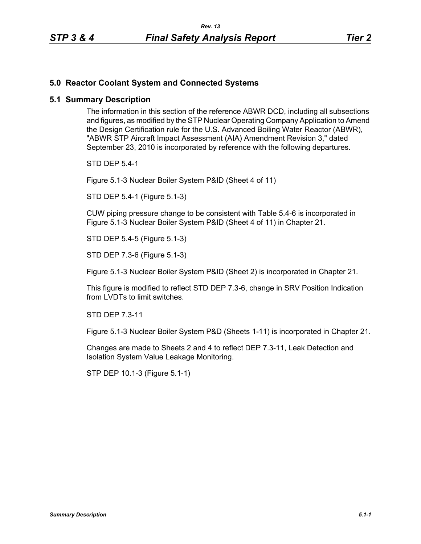## **5.0 Reactor Coolant System and Connected Systems**

## **5.1 Summary Description**

The information in this section of the reference ABWR DCD, including all subsections and figures, as modified by the STP Nuclear Operating Company Application to Amend the Design Certification rule for the U.S. Advanced Boiling Water Reactor (ABWR), "ABWR STP Aircraft Impact Assessment (AIA) Amendment Revision 3," dated September 23, 2010 is incorporated by reference with the following departures.

STD DEP 5.4-1

Figure 5.1-3 Nuclear Boiler System P&ID (Sheet 4 of 11)

STD DEP 5.4-1 (Figure 5.1-3)

CUW piping pressure change to be consistent with Table 5.4-6 is incorporated in Figure 5.1-3 Nuclear Boiler System P&ID (Sheet 4 of 11) in Chapter 21.

STD DEP 5.4-5 (Figure 5.1-3)

STD DEP 7.3-6 (Figure 5.1-3)

Figure 5.1-3 Nuclear Boiler System P&ID (Sheet 2) is incorporated in Chapter 21.

This figure is modified to reflect STD DEP 7.3-6, change in SRV Position Indication from LVDTs to limit switches.

STD DEP 7.3-11

Figure 5.1-3 Nuclear Boiler System P&D (Sheets 1-11) is incorporated in Chapter 21.

Changes are made to Sheets 2 and 4 to reflect DEP 7.3-11, Leak Detection and Isolation System Value Leakage Monitoring.

STP DEP 10.1-3 (Figure 5.1-1)